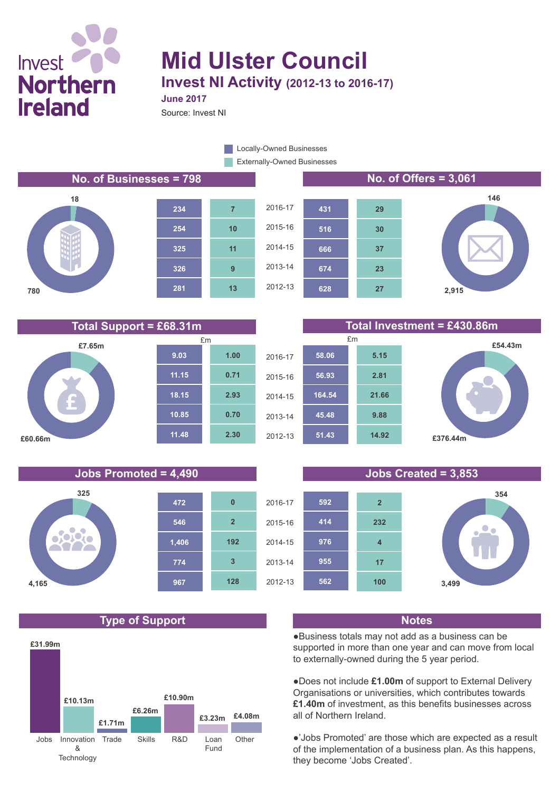# **Invest Northern Ireland**

## **Mid Ulster Council Invest NI Activity (2012-13 to 2016-17) June 2017**

Source: Invest NI

Externally-Owned Businesses **Locally-Owned Businesses** 

**No. of Businesses = 798 No. of Offers = 3,061**





**674**

**666 516**

**431**









**23**

**37**

**30**

**29**



#### **Jobs Promoted = 4,490 Jobs Created = 3,853**



### **Type of Support Notes**





●Business totals may not add as a business can be supported in more than one year and can move from local to externally-owned during the 5 year period.

●Does not include **£1.00m** of support to External Delivery Organisations or universities, which contributes towards **£1.40m** of investment, as this benefits businesses across all of Northern Ireland.

●'Jobs Promoted' are those which are expected as a result of the implementation of a business plan. As this happens, they become 'Jobs Created'.